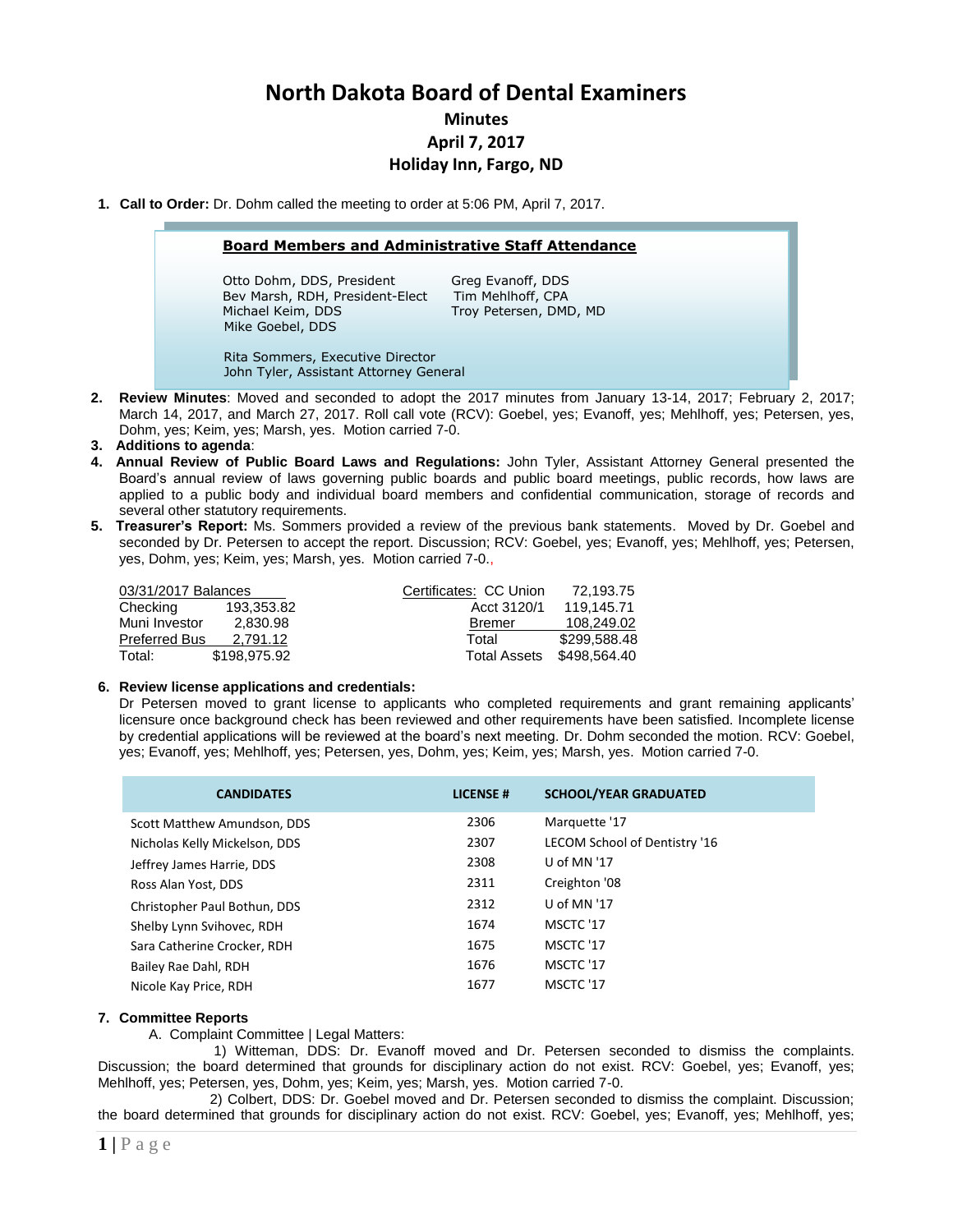# **North Dakota Board of Dental Examiners**

**Minutes April 7, 2017**

# **Holiday Inn, Fargo, ND**

**1. Call to Order:** Dr. Dohm called the meeting to order at 5:06 PM, April 7, 2017.

#### **Board Members and Administrative Staff Attendance**

Otto Dohm, DDS, President Greg Evanoff, DDS Bev Marsh, RDH, President-Elect Tim Mehlhoff, CPA Michael Keim, DDS Troy Petersen, DMD, MD Mike Goebel, DDS

 Rita Sommers, Executive Director John Tyler, Assistant Attorney General

- **2. Review Minutes**: Moved and seconded to adopt the 2017 minutes from January 13-14, 2017; February 2, 2017; March 14, 2017, and March 27, 2017. Roll call vote (RCV): Goebel, yes; Evanoff, yes; Mehlhoff, yes; Petersen, yes, Dohm, yes; Keim, yes; Marsh, yes. Motion carried 7-0.
- **3. Additions to agenda**:
- **4. Annual Review of Public Board Laws and Regulations:** John Tyler, Assistant Attorney General presented the Board's annual review of laws governing public boards and public board meetings, public records, how laws are applied to a public body and individual board members and confidential communication, storage of records and several other statutory requirements.
- **5. Treasurer's Report:** Ms. Sommers provided a review of the previous bank statements. Moved by Dr. Goebel and seconded by Dr. Petersen to accept the report. Discussion; RCV: Goebel, yes; Evanoff, yes; Mehlhoff, yes; Petersen, yes, Dohm, yes; Keim, yes; Marsh, yes. Motion carried 7-0.,

| 03/31/2017 Balances  |              | Certificates: CC Union | 72.193.75    |
|----------------------|--------------|------------------------|--------------|
| Checking             | 193.353.82   | Acct 3120/1            | 119.145.71   |
| Muni Investor        | 2.830.98     | <b>Bremer</b>          | 108.249.02   |
| <b>Preferred Bus</b> | 2.791.12     | Total                  | \$299.588.48 |
| Total:               | \$198,975.92 | <b>Total Assets</b>    | \$498,564,40 |

#### **6. Review license applications and credentials:**

Dr Petersen moved to grant license to applicants who completed requirements and grant remaining applicants' licensure once background check has been reviewed and other requirements have been satisfied. Incomplete license by credential applications will be reviewed at the board's next meeting. Dr. Dohm seconded the motion. RCV: Goebel, yes; Evanoff, yes; Mehlhoff, yes; Petersen, yes, Dohm, yes; Keim, yes; Marsh, yes. Motion carried 7-0.

| <b>CANDIDATES</b>             | <b>LICENSE#</b> | <b>SCHOOL/YEAR GRADUATED</b>  |
|-------------------------------|-----------------|-------------------------------|
| Scott Matthew Amundson, DDS   | 2306            | Marquette '17                 |
| Nicholas Kelly Mickelson, DDS | 2307            | LECOM School of Dentistry '16 |
| Jeffrey James Harrie, DDS     | 2308            | U of MN '17                   |
| Ross Alan Yost, DDS           | 2311            | Creighton '08                 |
| Christopher Paul Bothun, DDS  | 2312            | U of MN '17                   |
| Shelby Lynn Svihovec, RDH     | 1674            | MSCTC '17                     |
| Sara Catherine Crocker, RDH   | 1675            | MSCTC '17                     |
| Bailey Rae Dahl, RDH          | 1676            | MSCTC '17                     |
| Nicole Kay Price, RDH         | 1677            | MSCTC '17                     |

### **7. Committee Reports**

A. Complaint Committee | Legal Matters:

1) Witteman, DDS: Dr. Evanoff moved and Dr. Petersen seconded to dismiss the complaints. Discussion; the board determined that grounds for disciplinary action do not exist. RCV: Goebel, yes; Evanoff, yes; Mehlhoff, yes; Petersen, yes, Dohm, yes; Keim, yes; Marsh, yes. Motion carried 7-0.

2) Colbert, DDS: Dr. Goebel moved and Dr. Petersen seconded to dismiss the complaint. Discussion; the board determined that grounds for disciplinary action do not exist. RCV: Goebel, yes; Evanoff, yes; Mehlhoff, yes;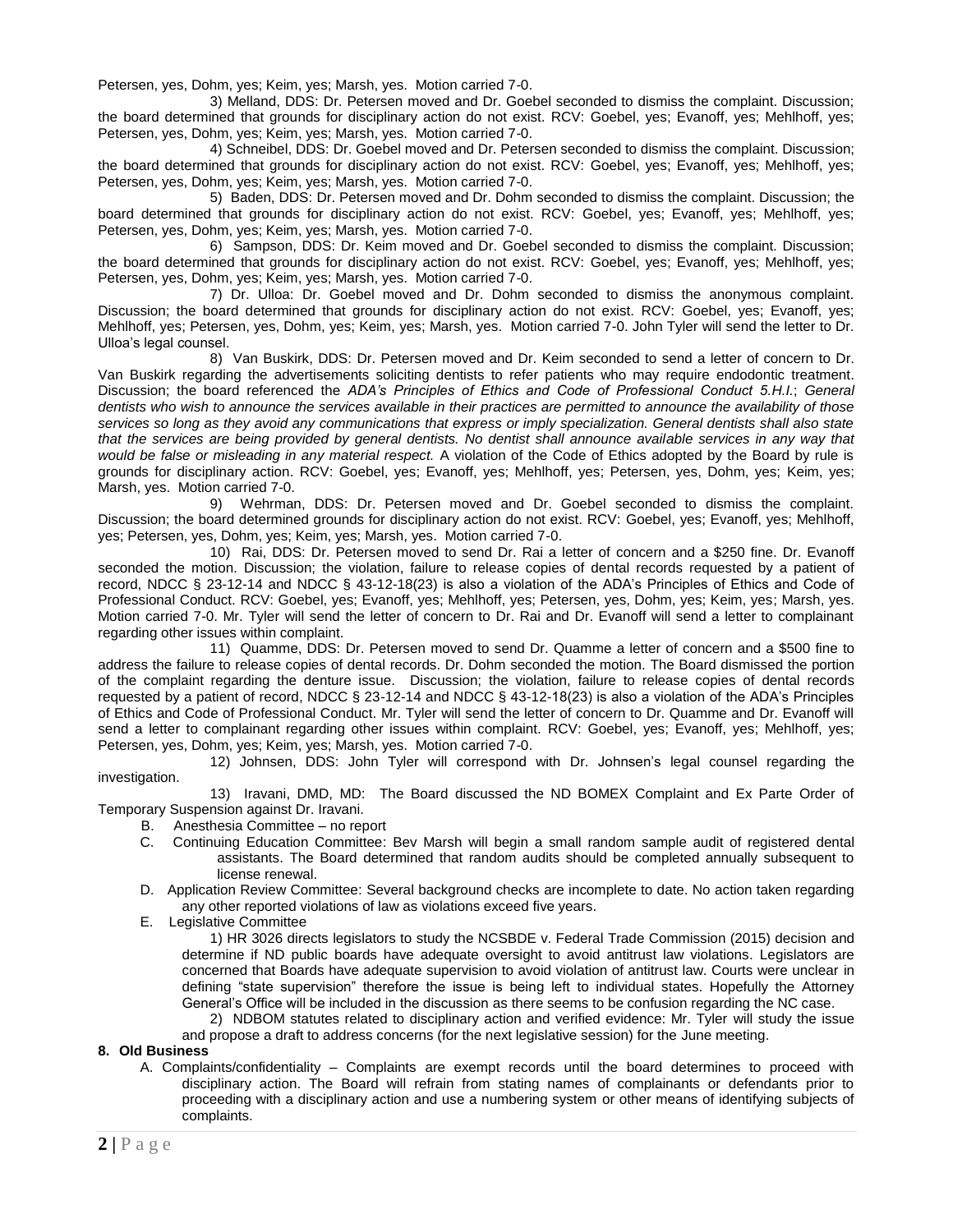Petersen, yes, Dohm, yes; Keim, yes; Marsh, yes. Motion carried 7-0.

3) Melland, DDS: Dr. Petersen moved and Dr. Goebel seconded to dismiss the complaint. Discussion; the board determined that grounds for disciplinary action do not exist. RCV: Goebel, yes; Evanoff, yes; Mehlhoff, yes; Petersen, yes, Dohm, yes; Keim, yes; Marsh, yes. Motion carried 7-0.

4) Schneibel, DDS: Dr. Goebel moved and Dr. Petersen seconded to dismiss the complaint. Discussion; the board determined that grounds for disciplinary action do not exist. RCV: Goebel, yes; Evanoff, yes; Mehlhoff, yes; Petersen, yes, Dohm, yes; Keim, yes; Marsh, yes. Motion carried 7-0.

5) Baden, DDS: Dr. Petersen moved and Dr. Dohm seconded to dismiss the complaint. Discussion; the board determined that grounds for disciplinary action do not exist. RCV: Goebel, yes; Evanoff, yes; Mehlhoff, yes; Petersen, yes, Dohm, yes; Keim, yes; Marsh, yes. Motion carried 7-0.

6) Sampson, DDS: Dr. Keim moved and Dr. Goebel seconded to dismiss the complaint. Discussion; the board determined that grounds for disciplinary action do not exist. RCV: Goebel, yes; Evanoff, yes; Mehlhoff, yes; Petersen, yes, Dohm, yes; Keim, yes; Marsh, yes. Motion carried 7-0.

7) Dr. Ulloa: Dr. Goebel moved and Dr. Dohm seconded to dismiss the anonymous complaint. Discussion; the board determined that grounds for disciplinary action do not exist. RCV: Goebel, yes; Evanoff, yes; Mehlhoff, yes; Petersen, yes, Dohm, yes; Keim, yes; Marsh, yes. Motion carried 7-0. John Tyler will send the letter to Dr. Ulloa's legal counsel.

8) Van Buskirk, DDS: Dr. Petersen moved and Dr. Keim seconded to send a letter of concern to Dr. Van Buskirk regarding the advertisements soliciting dentists to refer patients who may require endodontic treatment. Discussion; the board referenced the *ADA's Principles of Ethics and Code of Professional Conduct 5.H.I.*; *General dentists who wish to announce the services available in their practices are permitted to announce the availability of those services so long as they avoid any communications that express or imply specialization. General dentists shall also state that the services are being provided by general dentists. No dentist shall announce available services in any way that would be false or misleading in any material respect.* A violation of the Code of Ethics adopted by the Board by rule is grounds for disciplinary action. RCV: Goebel, yes; Evanoff, yes; Mehlhoff, yes; Petersen, yes, Dohm, yes; Keim, yes; Marsh, yes. Motion carried 7-0.

9) Wehrman, DDS: Dr. Petersen moved and Dr. Goebel seconded to dismiss the complaint. Discussion; the board determined grounds for disciplinary action do not exist. RCV: Goebel, yes; Evanoff, yes; Mehlhoff, yes; Petersen, yes, Dohm, yes; Keim, yes; Marsh, yes. Motion carried 7-0.

10) Rai, DDS: Dr. Petersen moved to send Dr. Rai a letter of concern and a \$250 fine. Dr. Evanoff seconded the motion. Discussion; the violation, failure to release copies of dental records requested by a patient of record, NDCC § 23-12-14 and NDCC § 43-12-18(23) is also a violation of the ADA's Principles of Ethics and Code of Professional Conduct. RCV: Goebel, yes; Evanoff, yes; Mehlhoff, yes; Petersen, yes, Dohm, yes; Keim, yes; Marsh, yes. Motion carried 7-0. Mr. Tyler will send the letter of concern to Dr. Rai and Dr. Evanoff will send a letter to complainant regarding other issues within complaint.

11) Quamme, DDS: Dr. Petersen moved to send Dr. Quamme a letter of concern and a \$500 fine to address the failure to release copies of dental records. Dr. Dohm seconded the motion. The Board dismissed the portion of the complaint regarding the denture issue. Discussion; the violation, failure to release copies of dental records requested by a patient of record, NDCC § 23-12-14 and NDCC § 43-12-18(23) is also a violation of the ADA's Principles of Ethics and Code of Professional Conduct. Mr. Tyler will send the letter of concern to Dr. Quamme and Dr. Evanoff will send a letter to complainant regarding other issues within complaint. RCV: Goebel, yes; Evanoff, yes; Mehlhoff, yes; Petersen, yes, Dohm, yes; Keim, yes; Marsh, yes. Motion carried 7-0.

12) Johnsen, DDS: John Tyler will correspond with Dr. Johnsen's legal counsel regarding the investigation.

13) Iravani, DMD, MD: The Board discussed the ND BOMEX Complaint and Ex Parte Order of Temporary Suspension against Dr. Iravani.

- B. Anesthesia Committee no report
- C. Continuing Education Committee: Bev Marsh will begin a small random sample audit of registered dental assistants. The Board determined that random audits should be completed annually subsequent to license renewal.
- D. Application Review Committee: Several background checks are incomplete to date. No action taken regarding any other reported violations of law as violations exceed five years.
- E. Legislative Committee

1) HR 3026 directs legislators to study the NCSBDE v. Federal Trade Commission (2015) decision and determine if ND public boards have adequate oversight to avoid antitrust law violations. Legislators are concerned that Boards have adequate supervision to avoid violation of antitrust law. Courts were unclear in defining "state supervision" therefore the issue is being left to individual states. Hopefully the Attorney General's Office will be included in the discussion as there seems to be confusion regarding the NC case.

2) NDBOM statutes related to disciplinary action and verified evidence: Mr. Tyler will study the issue and propose a draft to address concerns (for the next legislative session) for the June meeting.

#### **8. Old Business**

A. Complaints/confidentiality – Complaints are exempt records until the board determines to proceed with disciplinary action. The Board will refrain from stating names of complainants or defendants prior to proceeding with a disciplinary action and use a numbering system or other means of identifying subjects of complaints.